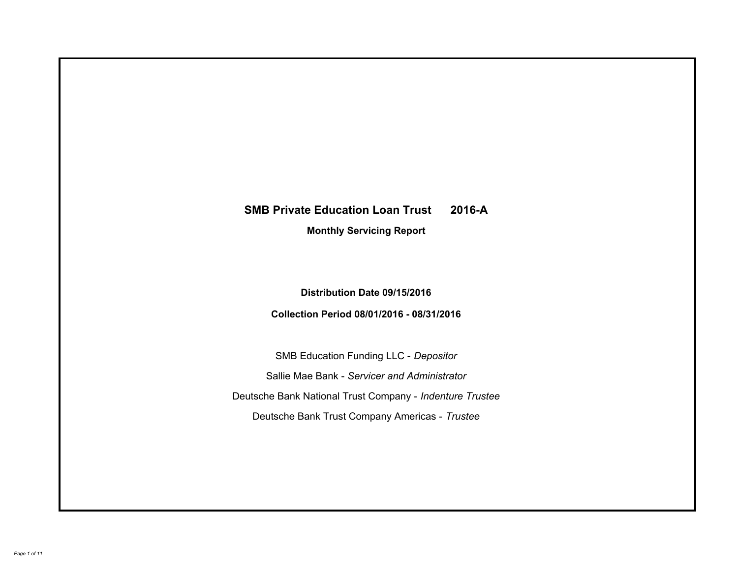# **SMB Private Education Loan Trust 2016-A Monthly Servicing Report**

# **Distribution Date 09/15/2016**

# **Collection Period 08/01/2016 - 08/31/2016**

SMB Education Funding LLC - *Depositor* Sallie Mae Bank - *Servicer and Administrator* Deutsche Bank National Trust Company - *Indenture Trustee* Deutsche Bank Trust Company Americas - *Trustee*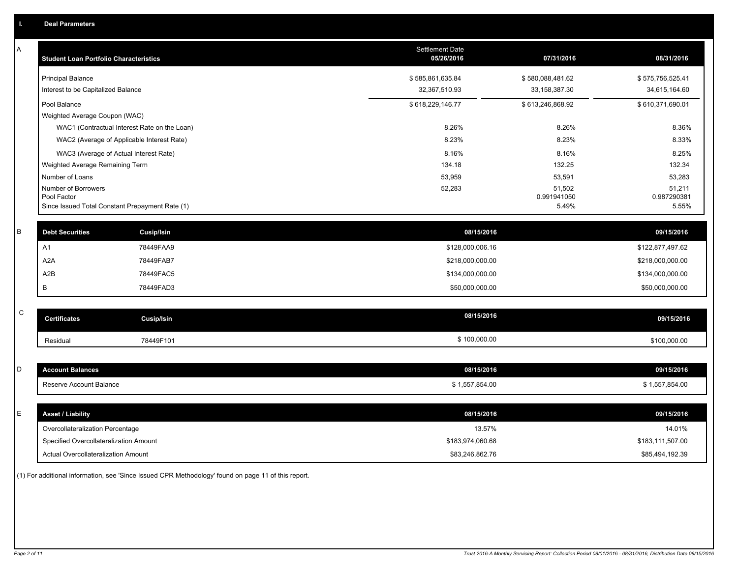| A           | <b>Student Loan Portfolio Characteristics</b>   |                   | <b>Settlement Date</b><br>05/26/2016 | 07/31/2016            | 08/31/2016            |
|-------------|-------------------------------------------------|-------------------|--------------------------------------|-----------------------|-----------------------|
|             | <b>Principal Balance</b>                        |                   | \$585,861,635.84                     | \$580,088,481.62      | \$575,756,525.41      |
|             | Interest to be Capitalized Balance              |                   | 32,367,510.93                        | 33, 158, 387. 30      | 34,615,164.60         |
|             | Pool Balance                                    |                   | \$618,229,146.77                     | \$613,246,868.92      | \$610,371,690.01      |
|             | Weighted Average Coupon (WAC)                   |                   |                                      |                       |                       |
|             | WAC1 (Contractual Interest Rate on the Loan)    |                   | 8.26%                                | 8.26%                 | 8.36%                 |
|             | WAC2 (Average of Applicable Interest Rate)      |                   | 8.23%                                | 8.23%                 | 8.33%                 |
|             | WAC3 (Average of Actual Interest Rate)          |                   | 8.16%                                | 8.16%                 | 8.25%                 |
|             | Weighted Average Remaining Term                 |                   | 134.18                               | 132.25                | 132.34                |
|             | Number of Loans                                 |                   | 53,959                               | 53,591                | 53,283                |
|             | Number of Borrowers<br>Pool Factor              |                   | 52,283                               | 51,502<br>0.991941050 | 51,211<br>0.987290381 |
|             | Since Issued Total Constant Prepayment Rate (1) |                   |                                      | 5.49%                 | 5.55%                 |
|             |                                                 |                   |                                      |                       |                       |
| B           | <b>Debt Securities</b>                          | <b>Cusip/Isin</b> | 08/15/2016                           |                       | 09/15/2016            |
|             | A <sub>1</sub>                                  | 78449FAA9         | \$128,000,006.16                     |                       | \$122,877,497.62      |
|             | A <sub>2</sub> A                                | 78449FAB7         | \$218,000,000.00                     |                       | \$218,000,000.00      |
|             | A2B                                             | 78449FAC5         | \$134,000,000.00                     |                       | \$134,000,000.00      |
|             | В                                               | 78449FAD3         | \$50,000,000.00                      |                       | \$50,000,000.00       |
|             |                                                 |                   |                                      |                       |                       |
| $\mathsf C$ | <b>Certificates</b>                             | <b>Cusip/Isin</b> | 08/15/2016                           |                       | 09/15/2016            |
|             | Residual                                        | 78449F101         | \$100,000.00                         |                       | \$100,000.00          |
|             |                                                 |                   |                                      |                       |                       |
| D           | <b>Account Balances</b>                         |                   | 08/15/2016                           |                       | 09/15/2016            |
|             | Reserve Account Balance                         |                   | \$1,557,854.00                       |                       | \$1,557,854.00        |
|             |                                                 |                   |                                      |                       |                       |
| E           | <b>Asset / Liability</b>                        |                   | 08/15/2016                           |                       | 09/15/2016            |
|             | Overcollateralization Percentage                |                   | 13.57%                               |                       | 14.01%                |
|             | Specified Overcollateralization Amount          |                   | \$183,974,060.68                     |                       | \$183,111,507.00      |
|             | Actual Overcollateralization Amount             |                   | \$83,246,862.76                      |                       | \$85,494,192.39       |

(1) For additional information, see 'Since Issued CPR Methodology' found on page 11 of this report.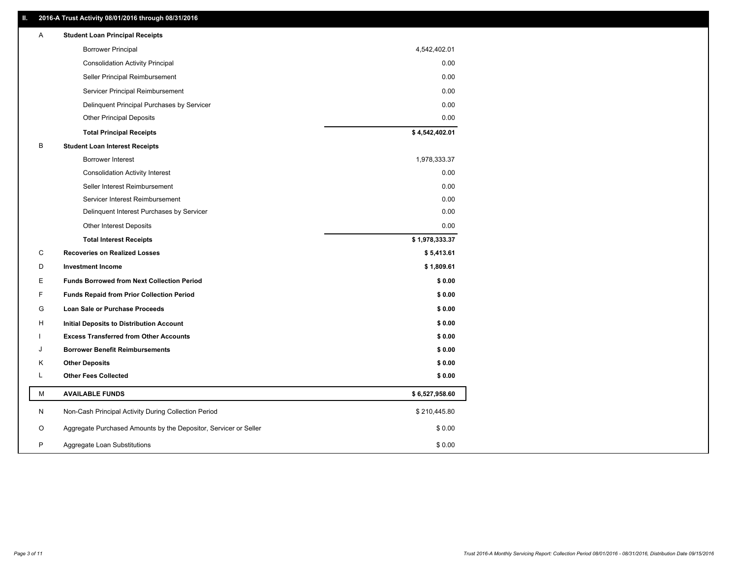# **II. 2016-A Trust Activity 08/01/2016 through 08/31/2016**

| Α | <b>Student Loan Principal Receipts</b>                           |                |
|---|------------------------------------------------------------------|----------------|
|   | <b>Borrower Principal</b>                                        | 4,542,402.01   |
|   | <b>Consolidation Activity Principal</b>                          | 0.00           |
|   | Seller Principal Reimbursement                                   | 0.00           |
|   | Servicer Principal Reimbursement                                 | 0.00           |
|   | Delinquent Principal Purchases by Servicer                       | 0.00           |
|   | <b>Other Principal Deposits</b>                                  | 0.00           |
|   | <b>Total Principal Receipts</b>                                  | \$4,542,402.01 |
| B | <b>Student Loan Interest Receipts</b>                            |                |
|   | <b>Borrower Interest</b>                                         | 1,978,333.37   |
|   | <b>Consolidation Activity Interest</b>                           | 0.00           |
|   | Seller Interest Reimbursement                                    | 0.00           |
|   | Servicer Interest Reimbursement                                  | 0.00           |
|   | Delinquent Interest Purchases by Servicer                        | 0.00           |
|   | Other Interest Deposits                                          | 0.00           |
|   | <b>Total Interest Receipts</b>                                   | \$1,978,333.37 |
| С | <b>Recoveries on Realized Losses</b>                             | \$5,413.61     |
| D | <b>Investment Income</b>                                         | \$1,809.61     |
| Е | <b>Funds Borrowed from Next Collection Period</b>                | \$0.00         |
| F | <b>Funds Repaid from Prior Collection Period</b>                 | \$0.00         |
| G | Loan Sale or Purchase Proceeds                                   | \$0.00         |
| н | <b>Initial Deposits to Distribution Account</b>                  | \$0.00         |
|   | <b>Excess Transferred from Other Accounts</b>                    | \$0.00         |
| J | <b>Borrower Benefit Reimbursements</b>                           | \$0.00         |
| K | <b>Other Deposits</b>                                            | \$0.00         |
| L | <b>Other Fees Collected</b>                                      | \$0.00         |
| M | <b>AVAILABLE FUNDS</b>                                           | \$6,527,958.60 |
| N | Non-Cash Principal Activity During Collection Period             | \$210,445.80   |
| O | Aggregate Purchased Amounts by the Depositor, Servicer or Seller | \$0.00         |
|   |                                                                  |                |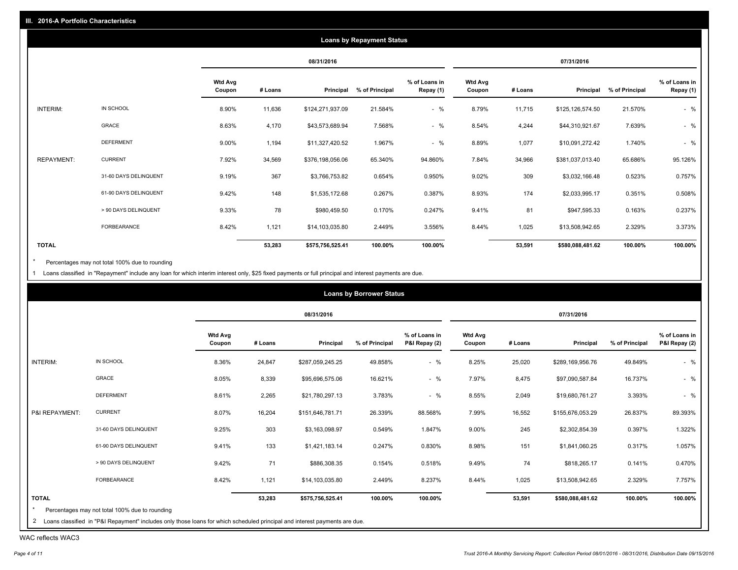|                   |                       |                          |         |                  | <b>Loans by Repayment Status</b> |                            |                          |         |                  |                |                            |
|-------------------|-----------------------|--------------------------|---------|------------------|----------------------------------|----------------------------|--------------------------|---------|------------------|----------------|----------------------------|
|                   |                       |                          |         | 08/31/2016       |                                  |                            |                          |         | 07/31/2016       |                |                            |
|                   |                       | <b>Wtd Avg</b><br>Coupon | # Loans | Principal        | % of Principal                   | % of Loans in<br>Repay (1) | <b>Wtd Avg</b><br>Coupon | # Loans | Principal        | % of Principal | % of Loans in<br>Repay (1) |
| INTERIM:          | IN SCHOOL             | 8.90%                    | 11,636  | \$124,271,937.09 | 21.584%                          | $-$ %                      | 8.79%                    | 11,715  | \$125,126,574.50 | 21.570%        | $-$ %                      |
|                   | GRACE                 | 8.63%                    | 4,170   | \$43,573,689.94  | 7.568%                           | $-$ %                      | 8.54%                    | 4,244   | \$44,310,921.67  | 7.639%         | $-$ %                      |
|                   | <b>DEFERMENT</b>      | 9.00%                    | 1,194   | \$11,327,420.52  | 1.967%                           | $-$ %                      | 8.89%                    | 1,077   | \$10,091,272.42  | 1.740%         | $-$ %                      |
| <b>REPAYMENT:</b> | <b>CURRENT</b>        | 7.92%                    | 34,569  | \$376,198,056.06 | 65.340%                          | 94.860%                    | 7.84%                    | 34,966  | \$381,037,013.40 | 65.686%        | 95.126%                    |
|                   | 31-60 DAYS DELINQUENT | 9.19%                    | 367     | \$3,766,753.82   | 0.654%                           | 0.950%                     | 9.02%                    | 309     | \$3,032,166.48   | 0.523%         | 0.757%                     |
|                   | 61-90 DAYS DELINQUENT | 9.42%                    | 148     | \$1,535,172.68   | 0.267%                           | 0.387%                     | 8.93%                    | 174     | \$2,033,995.17   | 0.351%         | 0.508%                     |
|                   | > 90 DAYS DELINQUENT  | 9.33%                    | 78      | \$980,459.50     | 0.170%                           | 0.247%                     | 9.41%                    | 81      | \$947,595.33     | 0.163%         | 0.237%                     |
|                   | <b>FORBEARANCE</b>    | 8.42%                    | 1,121   | \$14,103,035.80  | 2.449%                           | 3.556%                     | 8.44%                    | 1,025   | \$13,508,942.65  | 2.329%         | 3.373%                     |
| <b>TOTAL</b>      |                       |                          | 53,283  | \$575,756,525.41 | 100.00%                          | 100.00%                    |                          | 53,591  | \$580,088,481.62 | 100.00%        | 100.00%                    |

Percentages may not total 100% due to rounding  $^\star$ 

1 Loans classified in "Repayment" include any loan for which interim interest only, \$25 fixed payments or full principal and interest payments are due.

|                |                       |                          |         | 08/31/2016       |                |                                |                          |         | 07/31/2016       |                |                                |
|----------------|-----------------------|--------------------------|---------|------------------|----------------|--------------------------------|--------------------------|---------|------------------|----------------|--------------------------------|
|                |                       | <b>Wtd Avg</b><br>Coupon | # Loans | Principal        | % of Principal | % of Loans in<br>P&I Repay (2) | <b>Wtd Avg</b><br>Coupon | # Loans | Principal        | % of Principal | % of Loans in<br>P&I Repay (2) |
| INTERIM:       | IN SCHOOL             | 8.36%                    | 24,847  | \$287,059,245.25 | 49.858%        | $-$ %                          | 8.25%                    | 25,020  | \$289,169,956.76 | 49.849%        | $-$ %                          |
|                | GRACE                 | 8.05%                    | 8,339   | \$95,696,575.06  | 16.621%        | $-$ %                          | 7.97%                    | 8,475   | \$97,090,587.84  | 16.737%        | $-$ %                          |
|                | <b>DEFERMENT</b>      | 8.61%                    | 2,265   | \$21,780,297.13  | 3.783%         | $-$ %                          | 8.55%                    | 2,049   | \$19,680,761.27  | 3.393%         | $-$ %                          |
| P&I REPAYMENT: | <b>CURRENT</b>        | 8.07%                    | 16,204  | \$151,646,781.71 | 26.339%        | 88.568%                        | 7.99%                    | 16,552  | \$155,676,053.29 | 26.837%        | 89.393%                        |
|                | 31-60 DAYS DELINQUENT | 9.25%                    | 303     | \$3,163,098.97   | 0.549%         | 1.847%                         | 9.00%                    | 245     | \$2,302,854.39   | 0.397%         | 1.322%                         |
|                | 61-90 DAYS DELINQUENT | 9.41%                    | 133     | \$1,421,183.14   | 0.247%         | 0.830%                         | 8.98%                    | 151     | \$1,841,060.25   | 0.317%         | 1.057%                         |
|                | > 90 DAYS DELINQUENT  | 9.42%                    | 71      | \$886,308.35     | 0.154%         | 0.518%                         | 9.49%                    | 74      | \$818,265.17     | 0.141%         | 0.470%                         |
|                | FORBEARANCE           | 8.42%                    | 1,121   | \$14,103,035.80  | 2.449%         | 8.237%                         | 8.44%                    | 1,025   | \$13,508,942.65  | 2.329%         | 7.757%                         |
| <b>TOTAL</b>   |                       |                          | 53,283  | \$575,756,525.41 | 100.00%        | 100.00%                        |                          | 53,591  | \$580,088,481.62 | 100.00%        | 100.00%                        |

WAC reflects WAC3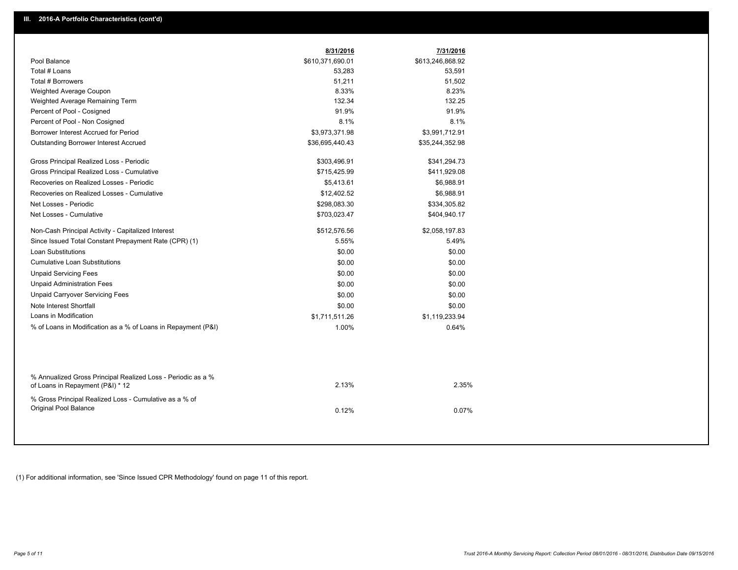|                                                                                                  | 8/31/2016        | 7/31/2016        |
|--------------------------------------------------------------------------------------------------|------------------|------------------|
| Pool Balance                                                                                     | \$610,371,690.01 | \$613,246,868.92 |
| Total # Loans                                                                                    | 53,283           | 53,591           |
| Total # Borrowers                                                                                | 51,211           | 51,502           |
| Weighted Average Coupon                                                                          | 8.33%            | 8.23%            |
| Weighted Average Remaining Term                                                                  | 132.34           | 132.25           |
| Percent of Pool - Cosigned                                                                       | 91.9%            | 91.9%            |
| Percent of Pool - Non Cosigned                                                                   | 8.1%             | 8.1%             |
| Borrower Interest Accrued for Period                                                             | \$3,973,371.98   | \$3,991,712.91   |
| <b>Outstanding Borrower Interest Accrued</b>                                                     | \$36,695,440.43  | \$35,244,352.98  |
| Gross Principal Realized Loss - Periodic                                                         | \$303,496.91     | \$341,294.73     |
| Gross Principal Realized Loss - Cumulative                                                       | \$715,425.99     | \$411,929.08     |
| Recoveries on Realized Losses - Periodic                                                         | \$5,413.61       | \$6,988.91       |
| Recoveries on Realized Losses - Cumulative                                                       | \$12,402.52      | \$6,988.91       |
| Net Losses - Periodic                                                                            | \$298,083.30     | \$334,305.82     |
| Net Losses - Cumulative                                                                          | \$703,023.47     | \$404,940.17     |
| Non-Cash Principal Activity - Capitalized Interest                                               | \$512,576.56     | \$2,058,197.83   |
| Since Issued Total Constant Prepayment Rate (CPR) (1)                                            | 5.55%            | 5.49%            |
| <b>Loan Substitutions</b>                                                                        | \$0.00           | \$0.00           |
| <b>Cumulative Loan Substitutions</b>                                                             | \$0.00           | \$0.00           |
| <b>Unpaid Servicing Fees</b>                                                                     | \$0.00           | \$0.00           |
| <b>Unpaid Administration Fees</b>                                                                | \$0.00           | \$0.00           |
| <b>Unpaid Carryover Servicing Fees</b>                                                           | \$0.00           | \$0.00           |
| Note Interest Shortfall                                                                          | \$0.00           | \$0.00           |
| Loans in Modification                                                                            | \$1,711,511.26   | \$1,119,233.94   |
| % of Loans in Modification as a % of Loans in Repayment (P&I)                                    | 1.00%            | 0.64%            |
|                                                                                                  |                  |                  |
| % Annualized Gross Principal Realized Loss - Periodic as a %<br>of Loans in Repayment (P&I) * 12 | 2.13%            | 2.35%            |
| % Gross Principal Realized Loss - Cumulative as a % of                                           |                  |                  |
| Original Pool Balance                                                                            | 0.12%            | 0.07%            |
|                                                                                                  |                  |                  |

(1) For additional information, see 'Since Issued CPR Methodology' found on page 11 of this report.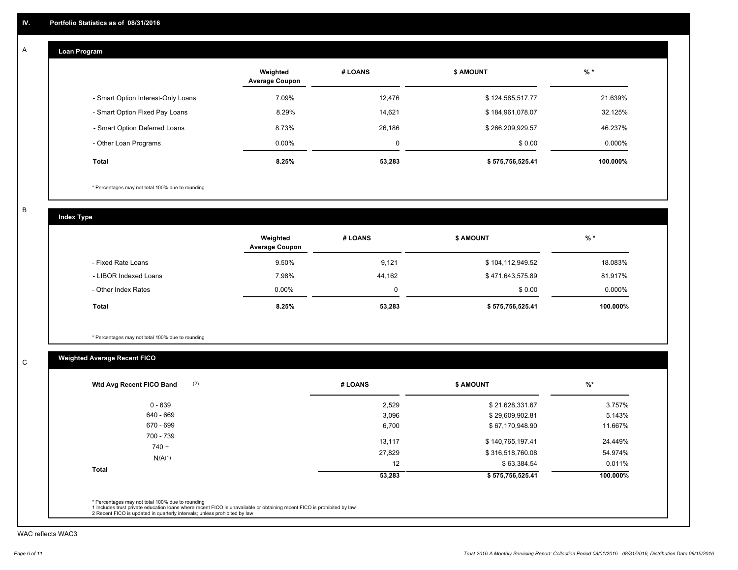#### **Loan Program**  A

|                                    | Weighted<br><b>Average Coupon</b> | # LOANS | <b>\$ AMOUNT</b> | $%$ *     |
|------------------------------------|-----------------------------------|---------|------------------|-----------|
| - Smart Option Interest-Only Loans | 7.09%                             | 12,476  | \$124,585,517.77 | 21.639%   |
| - Smart Option Fixed Pay Loans     | 8.29%                             | 14.621  | \$184,961,078.07 | 32.125%   |
| - Smart Option Deferred Loans      | 8.73%                             | 26.186  | \$266,209,929.57 | 46.237%   |
| - Other Loan Programs              | $0.00\%$                          | 0       | \$0.00           | $0.000\%$ |
| <b>Total</b>                       | 8.25%                             | 53,283  | \$575,756,525.41 | 100.000%  |

\* Percentages may not total 100% due to rounding

B

C

**Index Type**

|                       | Weighted<br><b>Average Coupon</b> | # LOANS | <b>\$ AMOUNT</b> | $%$ *     |
|-----------------------|-----------------------------------|---------|------------------|-----------|
| - Fixed Rate Loans    | 9.50%                             | 9,121   | \$104,112,949.52 | 18.083%   |
| - LIBOR Indexed Loans | 7.98%                             | 44,162  | \$471,643,575.89 | 81.917%   |
| - Other Index Rates   | $0.00\%$                          |         | \$0.00           | $0.000\%$ |
| Total                 | 8.25%                             | 53,283  | \$575,756,525.41 | 100.000%  |

\* Percentages may not total 100% due to rounding

# **Weighted Average Recent FICO**

| (2)<br>Wtd Avg Recent FICO Band | # LOANS | <b>\$ AMOUNT</b> | $%$ *    |
|---------------------------------|---------|------------------|----------|
| $0 - 639$                       | 2,529   | \$21,628,331.67  | 3.757%   |
| 640 - 669                       | 3,096   | \$29,609,902.81  | 5.143%   |
| 670 - 699                       | 6,700   | \$67,170,948.90  | 11.667%  |
| 700 - 739                       | 13,117  | \$140,765,197.41 | 24.449%  |
| $740 +$                         | 27,829  | \$316,518,760.08 | 54.974%  |
| N/A(1)                          | 12      | \$63,384.54      | 0.011%   |
| <b>Total</b>                    | 53,283  | \$575,756,525.41 | 100.000% |

WAC reflects WAC3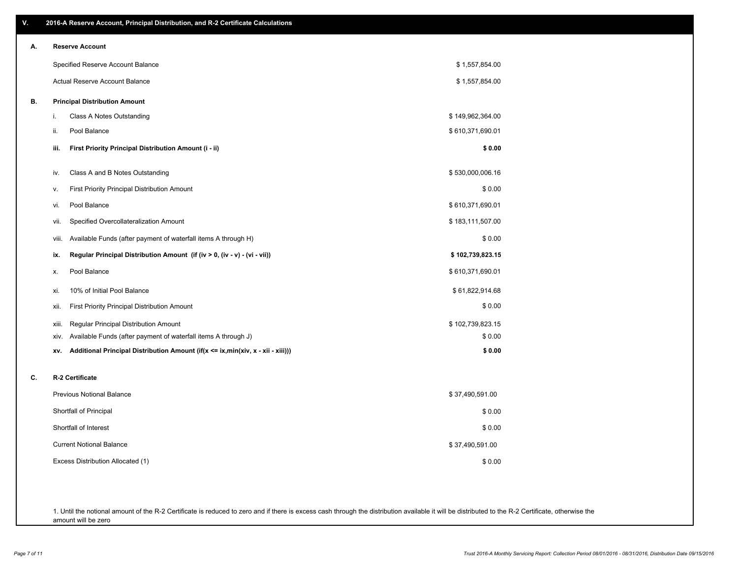| ۷. | 2016-A Reserve Account, Principal Distribution, and R-2 Certificate Calculations       |                  |
|----|----------------------------------------------------------------------------------------|------------------|
| А. | <b>Reserve Account</b>                                                                 |                  |
|    | Specified Reserve Account Balance                                                      | \$1,557,854.00   |
|    | Actual Reserve Account Balance                                                         | \$1,557,854.00   |
| В. | <b>Principal Distribution Amount</b>                                                   |                  |
|    | Class A Notes Outstanding<br>j.                                                        | \$149,962,364.00 |
|    | Pool Balance<br>ii.                                                                    | \$610,371,690.01 |
|    | First Priority Principal Distribution Amount (i - ii)<br>iii.                          | \$0.00           |
|    | Class A and B Notes Outstanding<br>iv.                                                 | \$530,000,006.16 |
|    | <b>First Priority Principal Distribution Amount</b><br>v.                              | \$0.00           |
|    | Pool Balance<br>vi.                                                                    | \$610,371,690.01 |
|    | Specified Overcollateralization Amount<br>vii.                                         | \$183,111,507.00 |
|    | Available Funds (after payment of waterfall items A through H)<br>Viii.                | \$0.00           |
|    | Regular Principal Distribution Amount (if (iv > 0, (iv - v) - (vi - vii))<br>ix.       | \$102,739,823.15 |
|    | Pool Balance<br>х.                                                                     | \$610,371,690.01 |
|    | 10% of Initial Pool Balance<br>xi.                                                     | \$61,822,914.68  |
|    | <b>First Priority Principal Distribution Amount</b><br>xii.                            | \$0.00           |
|    | Regular Principal Distribution Amount<br>xiii.                                         | \$102,739,823.15 |
|    | Available Funds (after payment of waterfall items A through J)<br>XIV.                 | \$0.00           |
|    | Additional Principal Distribution Amount (if(x <= ix,min(xiv, x - xii - xiii)))<br>XV. | \$0.00           |
| C. | R-2 Certificate                                                                        |                  |
|    | <b>Previous Notional Balance</b>                                                       | \$37,490,591.00  |
|    | Shortfall of Principal                                                                 | \$0.00           |
|    | Shortfall of Interest                                                                  | \$0.00           |
|    | <b>Current Notional Balance</b>                                                        | \$37,490,591.00  |
|    | Excess Distribution Allocated (1)                                                      | \$0.00           |
|    |                                                                                        |                  |
|    |                                                                                        |                  |

1. Until the notional amount of the R-2 Certificate is reduced to zero and if there is excess cash through the distribution available it will be distributed to the R-2 Certificate, otherwise the amount will be zero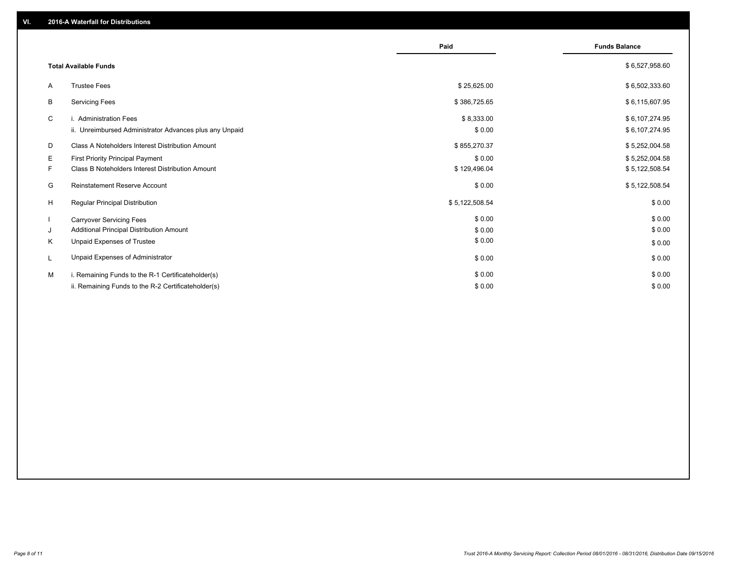|    |                                                         | Paid           | <b>Funds Balance</b> |
|----|---------------------------------------------------------|----------------|----------------------|
|    | <b>Total Available Funds</b>                            |                | \$6,527,958.60       |
| A  | <b>Trustee Fees</b>                                     | \$25,625.00    | \$6,502,333.60       |
| В  | <b>Servicing Fees</b>                                   | \$386,725.65   | \$6,115,607.95       |
| C  | i. Administration Fees                                  | \$8,333.00     | \$6,107,274.95       |
|    | ii. Unreimbursed Administrator Advances plus any Unpaid | \$0.00         | \$6,107,274.95       |
| D  | Class A Noteholders Interest Distribution Amount        | \$855,270.37   | \$5,252,004.58       |
| Е  | <b>First Priority Principal Payment</b>                 | \$0.00         | \$5,252,004.58       |
| F. | Class B Noteholders Interest Distribution Amount        | \$129,496.04   | \$5,122,508.54       |
| G  | <b>Reinstatement Reserve Account</b>                    | \$0.00         | \$5,122,508.54       |
| H  | Regular Principal Distribution                          | \$5,122,508.54 | \$0.00               |
|    | <b>Carryover Servicing Fees</b>                         | \$0.00         | \$0.00               |
| J  | Additional Principal Distribution Amount                | \$0.00         | \$0.00               |
| Κ  | Unpaid Expenses of Trustee                              | \$0.00         | \$0.00               |
| L  | Unpaid Expenses of Administrator                        | \$0.00         | \$0.00               |
| м  | i. Remaining Funds to the R-1 Certificateholder(s)      | \$0.00         | \$0.00               |
|    | ii. Remaining Funds to the R-2 Certificateholder(s)     | \$0.00         | \$0.00               |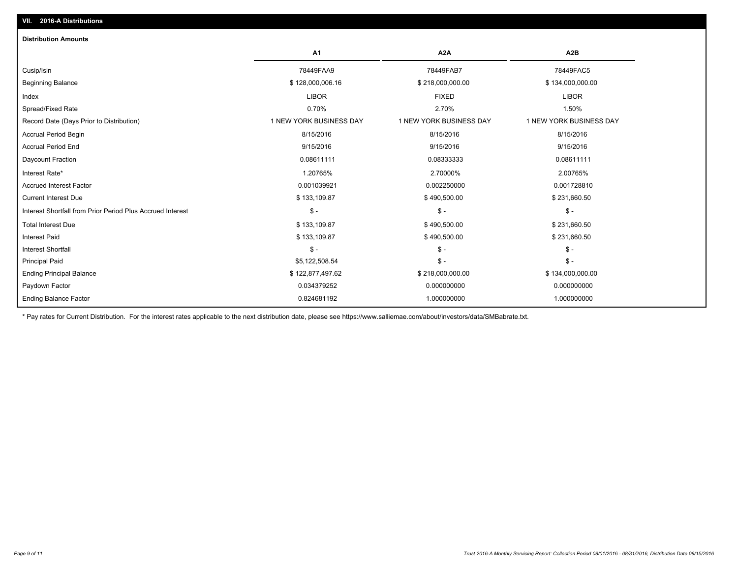| <b>Distribution Amounts</b>                                |                         |                         |                         |
|------------------------------------------------------------|-------------------------|-------------------------|-------------------------|
|                                                            | A <sub>1</sub>          | A <sub>2</sub> A        | A <sub>2</sub> B        |
| Cusip/Isin                                                 | 78449FAA9               | 78449FAB7               | 78449FAC5               |
| <b>Beginning Balance</b>                                   | \$128,000,006.16        | \$218,000,000.00        | \$134,000,000.00        |
| Index                                                      | <b>LIBOR</b>            | <b>FIXED</b>            | <b>LIBOR</b>            |
| Spread/Fixed Rate                                          | 0.70%                   | 2.70%                   | 1.50%                   |
| Record Date (Days Prior to Distribution)                   | 1 NEW YORK BUSINESS DAY | 1 NEW YORK BUSINESS DAY | 1 NEW YORK BUSINESS DAY |
| <b>Accrual Period Begin</b>                                | 8/15/2016               | 8/15/2016               | 8/15/2016               |
| <b>Accrual Period End</b>                                  | 9/15/2016               | 9/15/2016               | 9/15/2016               |
| Daycount Fraction                                          | 0.08611111              | 0.08333333              | 0.08611111              |
| Interest Rate*                                             | 1.20765%                | 2.70000%                | 2.00765%                |
| <b>Accrued Interest Factor</b>                             | 0.001039921             | 0.002250000             | 0.001728810             |
| <b>Current Interest Due</b>                                | \$133,109.87            | \$490,500.00            | \$231,660.50            |
| Interest Shortfall from Prior Period Plus Accrued Interest | $\mathsf{\$}$ -         | $\mathsf{\$}$ -         | $\mathsf{\$}$ -         |
| <b>Total Interest Due</b>                                  | \$133,109.87            | \$490,500.00            | \$231,660.50            |
| <b>Interest Paid</b>                                       | \$133,109.87            | \$490,500.00            | \$231,660.50            |
| <b>Interest Shortfall</b>                                  | $S -$                   | $\frac{2}{3}$ -         | $\mathsf{\$}$ -         |
| <b>Principal Paid</b>                                      | \$5,122,508.54          | $\frac{2}{3}$ -         | $S -$                   |
| <b>Ending Principal Balance</b>                            | \$122,877,497.62        | \$218,000,000.00        | \$134,000,000.00        |
| Paydown Factor                                             | 0.034379252             | 0.000000000             | 0.000000000             |
| <b>Ending Balance Factor</b>                               | 0.824681192             | 1.000000000             | 1.000000000             |

\* Pay rates for Current Distribution. For the interest rates applicable to the next distribution date, please see https://www.salliemae.com/about/investors/data/SMBabrate.txt.

**VII. 2016-A Distributions**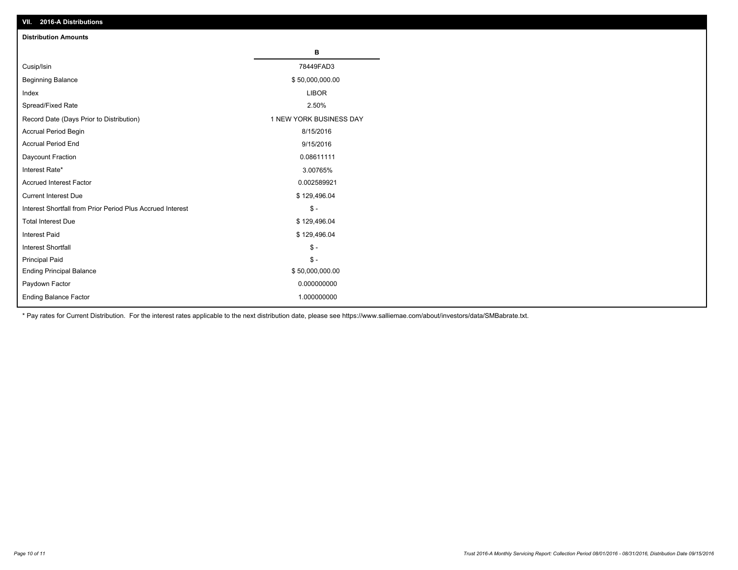| VII. 2016-A Distributions                                  |                         |
|------------------------------------------------------------|-------------------------|
| <b>Distribution Amounts</b>                                |                         |
|                                                            | в                       |
| Cusip/Isin                                                 | 78449FAD3               |
| <b>Beginning Balance</b>                                   | \$50,000,000.00         |
| Index                                                      | <b>LIBOR</b>            |
| Spread/Fixed Rate                                          | 2.50%                   |
| Record Date (Days Prior to Distribution)                   | 1 NEW YORK BUSINESS DAY |
| Accrual Period Begin                                       | 8/15/2016               |
| <b>Accrual Period End</b>                                  | 9/15/2016               |
| Daycount Fraction                                          | 0.08611111              |
| Interest Rate*                                             | 3.00765%                |
| <b>Accrued Interest Factor</b>                             | 0.002589921             |
| <b>Current Interest Due</b>                                | \$129,496.04            |
| Interest Shortfall from Prior Period Plus Accrued Interest | $$ -$                   |
| <b>Total Interest Due</b>                                  | \$129,496.04            |
| <b>Interest Paid</b>                                       | \$129,496.04            |
| <b>Interest Shortfall</b>                                  | $\frac{2}{3}$ -         |
| <b>Principal Paid</b>                                      | $\frac{2}{3}$ -         |
| <b>Ending Principal Balance</b>                            | \$50,000,000.00         |
| Paydown Factor                                             | 0.000000000             |
| <b>Ending Balance Factor</b>                               | 1.000000000             |

\* Pay rates for Current Distribution. For the interest rates applicable to the next distribution date, please see https://www.salliemae.com/about/investors/data/SMBabrate.txt.